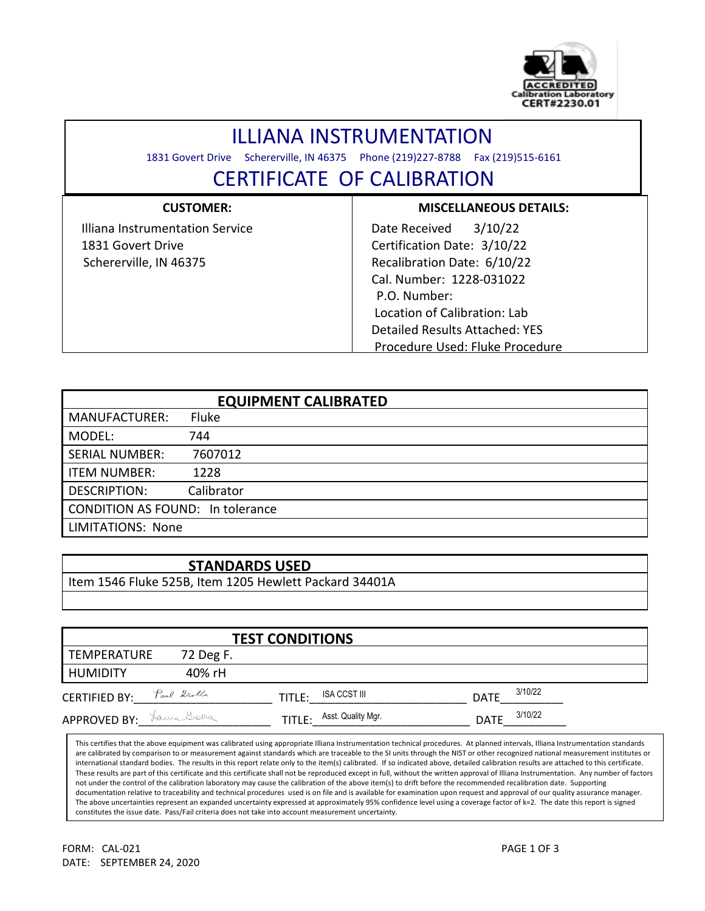

## ILLIANA INSTRUMENTATION

1831 Govert Drive Schererville, IN 46375 Phone (219)227-8788 Fax (219)515-6161

l

## CERTIFICATE OF CALIBRATION

| <b>CUSTOMER:</b>                | <b>MISCELLANEOUS DETAILS:</b>   |
|---------------------------------|---------------------------------|
| Illiana Instrumentation Service | 3/10/22<br>Date Received        |
| 1831 Govert Drive               | Certification Date: 3/10/22     |
| Schererville, IN 46375          | Recalibration Date: 6/10/22     |
|                                 | Cal. Number: 1228-031022        |
|                                 | P.O. Number:                    |
|                                 | Location of Calibration: Lab    |
|                                 | Detailed Results Attached: YES  |
|                                 | Procedure Used: Fluke Procedure |

| <b>EQUIPMENT CALIBRATED</b>             |              |  |  |  |  |
|-----------------------------------------|--------------|--|--|--|--|
| <b>MANUFACTURER:</b>                    | <b>Fluke</b> |  |  |  |  |
| MODEL:                                  | 744          |  |  |  |  |
| <b>SERIAL NUMBER:</b>                   | 7607012      |  |  |  |  |
| <b>ITEM NUMBER:</b>                     | 1228         |  |  |  |  |
| <b>DESCRIPTION:</b>                     | Calibrator   |  |  |  |  |
| <b>CONDITION AS FOUND: In tolerance</b> |              |  |  |  |  |
| <b>LIMITATIONS: None</b>                |              |  |  |  |  |

## **STANDARDS USED**

Item 1546 Fluke 525B, Item 1205 Hewlett Packard 34401A

|                           |           | <b>TEST CONDITIONS</b>       |                        |
|---------------------------|-----------|------------------------------|------------------------|
| <b>TEMPERATURE</b>        | 72 Deg F. |                              |                        |
| HUMIDITY                  | 40% rH    |                              |                        |
| CERTIFIED BY: Paul Krolla |           | ISA CCST III<br>TITLE:       | 3/10/22<br><b>DATE</b> |
| APPROVED BY: Lawa Grana   |           | Asst. Quality Mgr.<br>TITLE: | 3/10/22<br><b>DATE</b> |

This certifies that the above equipment was calibrated using appropriate Illiana Instrumentation technical procedures. At planned intervals, Illiana Instrumentation standards are calibrated by comparison to or measurement against standards which are traceable to the SI units through the NIST or other recognized national measurement institutes or international standard bodies. The results in this report relate only to the item(s) calibrated. If so indicated above, detailed calibration results are attached to this certificate. These results are part of this certificate and this certificate shall not be reproduced except in full, without the written approval of Illiana Instrumentation. Any number of factors not under the control of the calibration laboratory may cause the calibration of the above item(s) to drift before the recommended recalibration date. Supporting documentation relative to traceability and technical procedures used is on file and is available for examination upon request and approval of our quality assurance manager. The above uncertainties represent an expanded uncertainty expressed at approximately 95% confidence level using a coverage factor of k=2. The date this report is signed constitutes the issue date. Pass/Fail criteria does not take into account measurement uncertainty.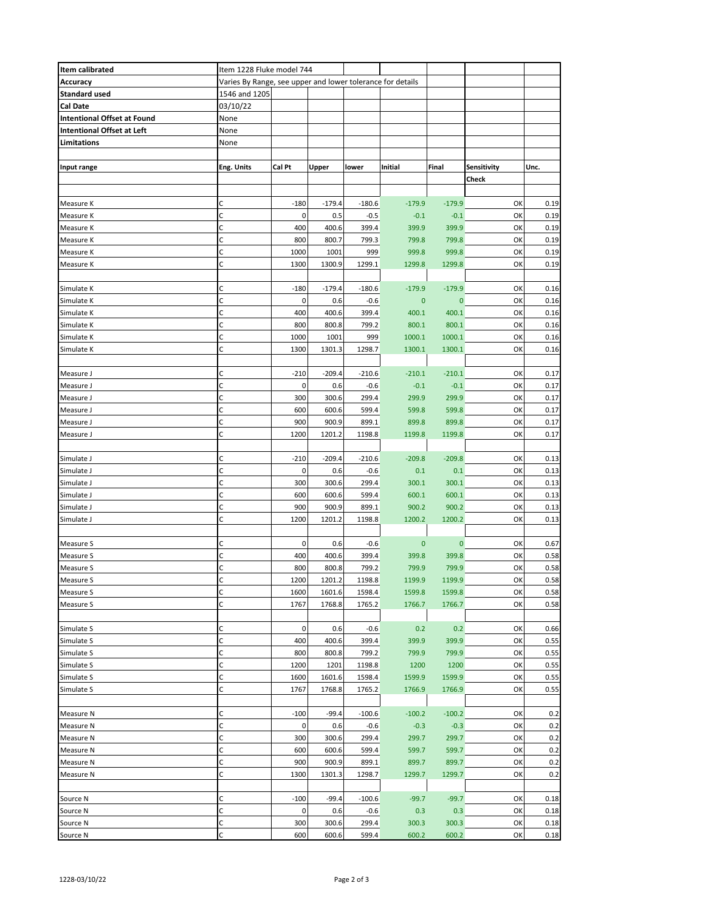| Item calibrated                    | Item 1228 Fluke model 744                                  |                       |          |          |             |             |             |      |
|------------------------------------|------------------------------------------------------------|-----------------------|----------|----------|-------------|-------------|-------------|------|
| Accuracy                           | Varies By Range, see upper and lower tolerance for details |                       |          |          |             |             |             |      |
| <b>Standard used</b>               | 1546 and 1205                                              |                       |          |          |             |             |             |      |
| Cal Date                           | 03/10/22                                                   |                       |          |          |             |             |             |      |
| <b>Intentional Offset at Found</b> | None                                                       |                       |          |          |             |             |             |      |
| Intentional Offset at Left         | None                                                       |                       |          |          |             |             |             |      |
| Limitations                        | None                                                       |                       |          |          |             |             |             |      |
|                                    |                                                            |                       |          |          |             |             |             |      |
| Input range                        | <b>Eng. Units</b>                                          | Cal Pt                | Upper    | lower    | Initial     | Final       | Sensitivity | Unc. |
|                                    |                                                            |                       |          |          |             |             | Check       |      |
|                                    |                                                            |                       |          |          |             |             |             |      |
| Measure K                          | C                                                          | $-180$                | $-179.4$ | $-180.6$ | $-179.9$    | $-179.9$    | OK          | 0.19 |
| Measure K                          | C                                                          | 0                     | 0.5      | $-0.5$   | $-0.1$      | $-0.1$      | OK          | 0.19 |
| Measure K                          | C                                                          | 400                   | 400.6    | 399.4    | 399.9       | 399.9       | OK          | 0.19 |
| Measure K                          | C                                                          | 800                   | 800.7    | 799.3    | 799.8       | 799.8       | OK          | 0.19 |
| Measure K                          | C                                                          | 1000                  | 1001     | 999      | 999.8       | 999.8       | OK          | 0.19 |
|                                    | C                                                          | 1300                  | 1300.9   | 1299.1   | 1299.8      | 1299.8      | OK          | 0.19 |
| Measure K                          |                                                            |                       |          |          |             |             |             |      |
| Simulate K                         | C                                                          | $-180$                | $-179.4$ | $-180.6$ | $-179.9$    | $-179.9$    | OK          | 0.16 |
| Simulate K                         | C                                                          | 0                     | 0.6      | $-0.6$   | $\mathbf 0$ | $\bf{0}$    | OK          | 0.16 |
| Simulate K                         | С                                                          | 400                   | 400.6    | 399.4    | 400.1       | 400.1       | OK          | 0.16 |
|                                    | C                                                          | 800                   | 800.8    | 799.2    | 800.1       | 800.1       | OK          | 0.16 |
| Simulate K<br>Simulate K           | C                                                          | 1000                  | 1001     | 999      | 1000.1      | 1000.1      | OK          | 0.16 |
|                                    | C                                                          |                       | 1301.3   |          |             |             | OK          |      |
| Simulate K                         |                                                            | 1300                  |          | 1298.7   | 1300.1      | 1300.1      |             | 0.16 |
|                                    | C                                                          |                       |          |          |             |             |             |      |
| Measure J                          | C                                                          | $-210$<br>$\mathbf 0$ | $-209.4$ | $-210.6$ | $-210.1$    | $-210.1$    | OK          | 0.17 |
| Measure J                          | C                                                          | 300                   | 0.6      | $-0.6$   | $-0.1$      | $-0.1$      | OK          | 0.17 |
| Measure J                          | C                                                          |                       | 300.6    | 299.4    | 299.9       | 299.9       | OK          | 0.17 |
| Measure J                          |                                                            | 600                   | 600.6    | 599.4    | 599.8       | 599.8       | OK          | 0.17 |
| Measure J                          | C                                                          | 900                   | 900.9    | 899.1    | 899.8       | 899.8       | OK          | 0.17 |
| Measure J                          | C                                                          | 1200                  | 1201.2   | 1198.8   | 1199.8      | 1199.8      | OK          | 0.17 |
|                                    |                                                            |                       |          |          |             |             |             |      |
| Simulate J                         | C                                                          | $-210$                | $-209.4$ | $-210.6$ | $-209.8$    | $-209.8$    | OK          | 0.13 |
| Simulate J                         | C                                                          | 0                     | 0.6      | $-0.6$   | 0.1         | 0.1         | OK          | 0.13 |
| Simulate J                         | $\mathsf{C}$                                               | 300                   | 300.6    | 299.4    | 300.1       | 300.1       | OK          | 0.13 |
| Simulate J                         | C                                                          | 600                   | 600.6    | 599.4    | 600.1       | 600.1       | OK          | 0.13 |
| Simulate J                         | C                                                          | 900                   | 900.9    | 899.1    | 900.2       | 900.2       | OK          | 0.13 |
| Simulate J                         | C                                                          | 1200                  | 1201.2   | 1198.8   | 1200.2      | 1200.2      | OK          | 0.13 |
|                                    |                                                            |                       |          |          |             |             |             |      |
| Measure S                          | С                                                          | 0                     | 0.6      | $-0.6$   | 0           | $\mathbf 0$ | OK          | 0.67 |
| Measure S                          | C                                                          | 400                   | 400.6    | 399.4    | 399.8       | 399.8       | OK          | 0.58 |
| Measure S                          | C                                                          | 800                   | 800.8    | 799.2    | 799.9       | 799.9       | OK          | 0.58 |
| Measure S                          | C                                                          | 1200                  | 1201.2   | 1198.8   | 1199.9      | 1199.9      | OK          | 0.58 |
| Measure S                          | $\mathsf C$                                                | 1600                  | 1601.6   | 1598.4   | 1599.8      | 1599.8      | OK          | 0.58 |
| Measure S                          | C                                                          | 1767                  | 1768.8   | 1765.2   | 1766.7      | 1766.7      | OK          | 0.58 |
|                                    |                                                            |                       |          |          |             |             |             |      |
| Simulate S                         | C                                                          | $\mathbf 0$           | 0.6      | $-0.6$   | 0.2         | 0.2         | OK          | 0.66 |
| Simulate S                         | C                                                          | 400                   | 400.6    | 399.4    | 399.9       | 399.9       | OK          | 0.55 |
| Simulate S                         | C                                                          | 800                   | 800.8    | 799.2    | 799.9       | 799.9       | OK          | 0.55 |
| Simulate S                         | C                                                          | 1200                  | 1201     | 1198.8   | 1200        | 1200        | OK          | 0.55 |
| Simulate S                         | C                                                          | 1600                  | 1601.6   | 1598.4   | 1599.9      | 1599.9      | OK          | 0.55 |
| Simulate S                         | C                                                          | 1767                  | 1768.8   | 1765.2   | 1766.9      | 1766.9      | OK          | 0.55 |
|                                    |                                                            |                       |          |          |             |             |             |      |
| Measure N                          | C                                                          | $-100$                | $-99.4$  | $-100.6$ | $-100.2$    | $-100.2$    | OK          | 0.2  |
| Measure N                          | C                                                          | 0                     | 0.6      | $-0.6$   | $-0.3$      | $-0.3$      | OK          | 0.2  |
| Measure N                          | $\mathsf{C}$                                               | 300                   | 300.6    | 299.4    | 299.7       | 299.7       | OK          | 0.2  |
| Measure N                          | C                                                          | 600                   | 600.6    | 599.4    | 599.7       | 599.7       | OK          | 0.2  |
| Measure N                          | C                                                          | 900                   | 900.9    | 899.1    | 899.7       | 899.7       | OK          | 0.2  |
| Measure N                          | C                                                          | 1300                  | 1301.3   | 1298.7   | 1299.7      | 1299.7      | OK          | 0.2  |
|                                    |                                                            |                       |          |          |             |             |             |      |
| Source N                           | C                                                          | $-100$                | $-99.4$  | $-100.6$ | $-99.7$     | $-99.7$     | OK          | 0.18 |
| Source N                           | C                                                          | 0                     | 0.6      | $-0.6$   | 0.3         | 0.3         | OK          | 0.18 |
| Source N                           | с                                                          | 300                   | 300.6    | 299.4    | 300.3       | 300.3       | OK          | 0.18 |
| Source N                           | C                                                          | 600                   | 600.6    | 599.4    | 600.2       | 600.2       | OK          | 0.18 |